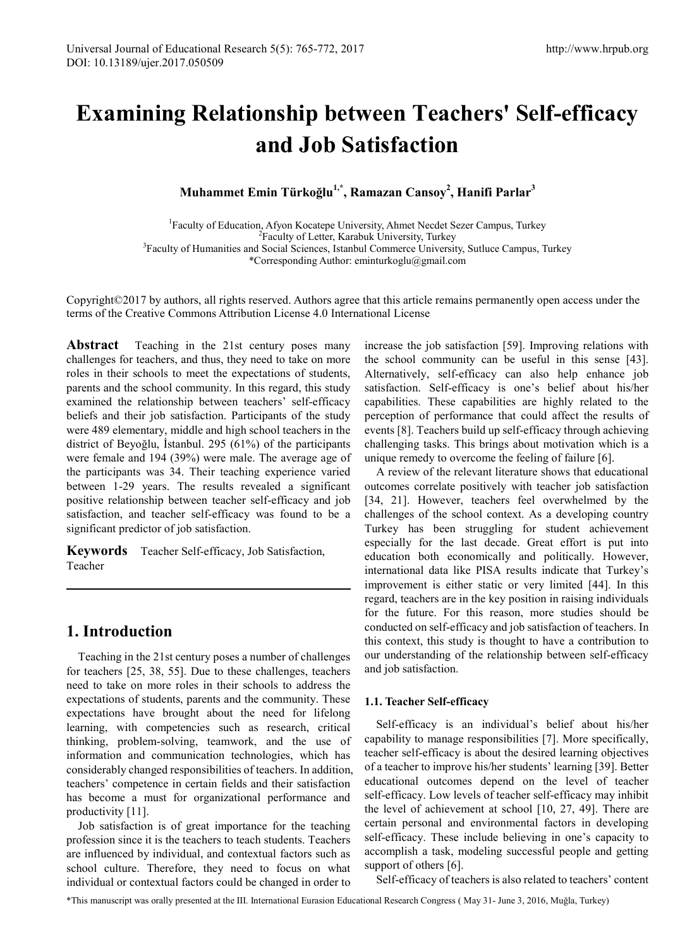# **Examining Relationship between Teachers' Self-efficacy and Job Satisfaction**

**Muhammet Emin Türkoğlu1,\*, Ramazan Cansoy2 , Hanifi Parlar<sup>3</sup>**

<sup>1</sup> Faculty of Education, Afyon Kocatepe University, Ahmet Necdet Sezer Campus, Turkey <sup>2</sup> Faculty of Letter, Karabuk University, Turkey<br><sup>3</sup> Faculty of Humanities and Social Sciences, Istanbul Commerce University, Sutluce Campus, Turkey<sup>3</sup> \*Corresponding Author: eminturkoglu@gmail.com

Copyright©2017 by authors, all rights reserved. Authors agree that this article remains permanently open access under the terms of the Creative Commons Attribution License 4.0 International License

**Abstract** Teaching in the 21st century poses many challenges for teachers, and thus, they need to take on more roles in their schools to meet the expectations of students, parents and the school community. In this regard, this study examined the relationship between teachers' self-efficacy beliefs and their job satisfaction. Participants of the study were 489 elementary, middle and high school teachers in the district of Beyoğlu, İstanbul. 295 (61%) of the participants were female and 194 (39%) were male. The average age of the participants was 34. Their teaching experience varied between 1-29 years. The results revealed a significant positive relationship between teacher self-efficacy and job satisfaction, and teacher self-efficacy was found to be a significant predictor of job satisfaction.

**Keywords** Teacher Self-efficacy, Job Satisfaction, Teacher

# **1. Introduction**

Teaching in the 21st century poses a number of challenges for teachers [25, 38, 55]. Due to these challenges, teachers need to take on more roles in their schools to address the expectations of students, parents and the community. These expectations have brought about the need for lifelong learning, with competencies such as research, critical thinking, problem-solving, teamwork, and the use of information and communication technologies, which has considerably changed responsibilities of teachers. In addition, teachers' competence in certain fields and their satisfaction has become a must for organizational performance and productivity [11].

Job satisfaction is of great importance for the teaching profession since it is the teachers to teach students. Teachers are influenced by individual, and contextual factors such as school culture. Therefore, they need to focus on what individual or contextual factors could be changed in order to increase the job satisfaction [59]. Improving relations with the school community can be useful in this sense [43]. Alternatively, self-efficacy can also help enhance job satisfaction. Self-efficacy is one's belief about his/her capabilities. These capabilities are highly related to the perception of performance that could affect the results of events [8]. Teachers build up self-efficacy through achieving challenging tasks. This brings about motivation which is a unique remedy to overcome the feeling of failure [6].

A review of the relevant literature shows that educational outcomes correlate positively with teacher job satisfaction [34, 21]. However, teachers feel overwhelmed by the challenges of the school context. As a developing country Turkey has been struggling for student achievement especially for the last decade. Great effort is put into education both economically and politically. However, international data like PISA results indicate that Turkey's improvement is either static or very limited [44]. In this regard, teachers are in the key position in raising individuals for the future. For this reason, more studies should be conducted on self-efficacy and job satisfaction of teachers. In this context, this study is thought to have a contribution to our understanding of the relationship between self-efficacy and job satisfaction.

## **1.1. Teacher Self-efficacy**

Self-efficacy is an individual's belief about his/her capability to manage responsibilities [7]. More specifically, teacher self-efficacy is about the desired learning objectives of a teacher to improve his/her students' learning [39]. Better educational outcomes depend on the level of teacher self-efficacy. Low levels of teacher self-efficacy may inhibit the level of achievement at school [10, 27, 49]. There are certain personal and environmental factors in developing self-efficacy. These include believing in one's capacity to accomplish a task, modeling successful people and getting support of others [6].

Self-efficacy of teachers is also related to teachers' content

\*This manuscript was orally presented at the III. International Eurasion Educational Research Congress ( May 31- June 3, 2016, Muğla, Turkey)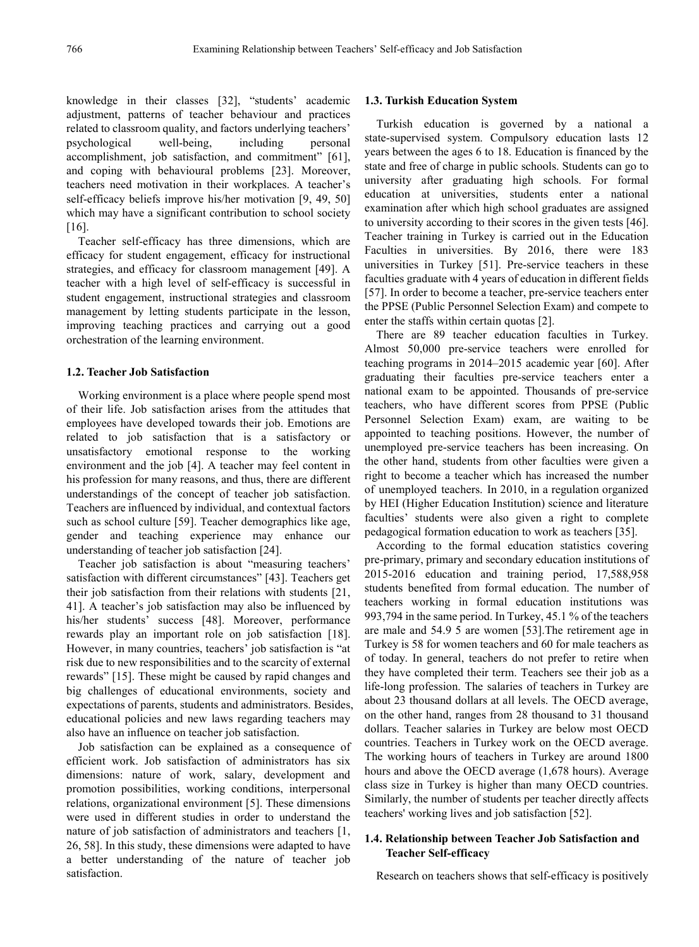knowledge in their classes [32], "students' academic adjustment, patterns of teacher behaviour and practices related to classroom quality, and factors underlying teachers' psychological well-being, including personal accomplishment, job satisfaction, and commitment" [61], and coping with behavioural problems [23]. Moreover, teachers need motivation in their workplaces. A teacher's self-efficacy beliefs improve his/her motivation [9, 49, 50] which may have a significant contribution to school society [16].

Teacher self-efficacy has three dimensions, which are efficacy for student engagement, efficacy for instructional strategies, and efficacy for classroom management [49]. A teacher with a high level of self-efficacy is successful in student engagement, instructional strategies and classroom management by letting students participate in the lesson, improving teaching practices and carrying out a good orchestration of the learning environment.

#### **1.2. Teacher Job Satisfaction**

Working environment is a place where people spend most of their life. Job satisfaction arises from the attitudes that employees have developed towards their job. Emotions are related to job satisfaction that is a satisfactory or unsatisfactory emotional response to the working environment and the job [4]. A teacher may feel content in his profession for many reasons, and thus, there are different understandings of the concept of teacher job satisfaction. Teachers are influenced by individual, and contextual factors such as school culture [59]. Teacher demographics like age, gender and teaching experience may enhance our understanding of teacher job satisfaction [24].

Teacher job satisfaction is about "measuring teachers' satisfaction with different circumstances" [43]. Teachers get their job satisfaction from their relations with students [21, 41]. A teacher's job satisfaction may also be influenced by his/her students' success [48]. Moreover, performance rewards play an important role on job satisfaction [18]. However, in many countries, teachers' job satisfaction is "at risk due to new responsibilities and to the scarcity of external rewards" [15]. These might be caused by rapid changes and big challenges of educational environments, society and expectations of parents, students and administrators. Besides, educational policies and new laws regarding teachers may also have an influence on teacher job satisfaction.

Job satisfaction can be explained as a consequence of efficient work. Job satisfaction of administrators has six dimensions: nature of work, salary, development and promotion possibilities, working conditions, interpersonal relations, organizational environment [5]. These dimensions were used in different studies in order to understand the nature of job satisfaction of administrators and teachers [1, 26, 58]. In this study, these dimensions were adapted to have a better understanding of the nature of teacher job satisfaction.

#### **1.3. Turkish Education System**

Turkish education is governed by a national a state-supervised system. Compulsory education lasts 12 years between the ages 6 to 18. Education is financed by the state and free of charge in public schools. Students can go to university after graduating high schools. For formal education at universities, students enter a national examination after which high school graduates are assigned to university according to their scores in the given tests [46]. Teacher training in Turkey is carried out in the Education Faculties in universities. By 2016, there were 183 universities in Turkey [51]. Pre-service teachers in these faculties graduate with 4 years of education in different fields [57]. In order to become a teacher, pre-service teachers enter the PPSE (Public Personnel Selection Exam) and compete to enter the staffs within certain quotas [2].

There are 89 teacher education faculties in Turkey. Almost 50,000 pre-service teachers were enrolled for teaching programs in 2014–2015 academic year [60]. After graduating their faculties pre-service teachers enter a national exam to be appointed. Thousands of pre-service teachers, who have different scores from PPSE (Public Personnel Selection Exam) exam, are waiting to be appointed to teaching positions. However, the number of unemployed pre-service teachers has been increasing. On the other hand, students from other faculties were given a right to become a teacher which has increased the number of unemployed teachers. In 2010, in a regulation organized by HEI (Higher Education Institution) science and literature faculties' students were also given a right to complete pedagogical formation education to work as teachers [35].

According to the formal education statistics covering pre-primary, primary and secondary education institutions of 2015-2016 education and training period, 17,588,958 students benefited from formal education. The number of teachers working in formal education institutions was 993,794 in the same period. In Turkey, 45.1 % of the teachers are male and 54.9 5 are women [53].The retirement age in Turkey is 58 for women teachers and 60 for male teachers as of today. In general, teachers do not prefer to retire when they have completed their term. Teachers see their job as a life-long profession. The salaries of teachers in Turkey are about 23 thousand dollars at all levels. The OECD average, on the other hand, ranges from 28 thousand to 31 thousand dollars. Teacher salaries in Turkey are below most OECD countries. Teachers in Turkey work on the OECD average. The working hours of teachers in Turkey are around 1800 hours and above the OECD average (1,678 hours). Average class size in Turkey is higher than many OECD countries. Similarly, the number of students per teacher directly affects teachers' working lives and job satisfaction [52].

## **1.4. Relationship between Teacher Job Satisfaction and Teacher Self-efficacy**

Research on teachers shows that self-efficacy is positively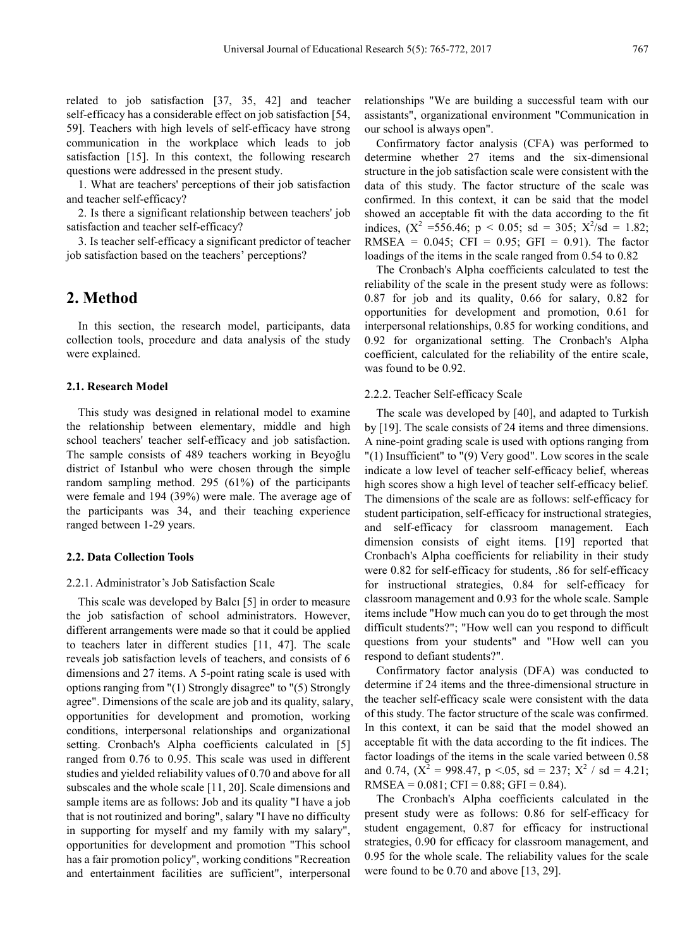related to job satisfaction [37, 35, 42] and teacher self-efficacy has a considerable effect on job satisfaction [54, 59]. Teachers with high levels of self-efficacy have strong communication in the workplace which leads to job satisfaction [15]. In this context, the following research questions were addressed in the present study.

1. What are teachers' perceptions of their job satisfaction and teacher self-efficacy?

2. Is there a significant relationship between teachers' job satisfaction and teacher self-efficacy?

3. Is teacher self-efficacy a significant predictor of teacher job satisfaction based on the teachers' perceptions?

# **2. Method**

In this section, the research model, participants, data collection tools, procedure and data analysis of the study were explained.

## **2.1. Research Model**

This study was designed in relational model to examine the relationship between elementary, middle and high school teachers' teacher self-efficacy and job satisfaction. The sample consists of 489 teachers working in Beyoğlu district of Istanbul who were chosen through the simple random sampling method. 295 (61%) of the participants were female and 194 (39%) were male. The average age of the participants was 34, and their teaching experience ranged between 1-29 years.

#### **2.2. Data Collection Tools**

#### 2.2.1. Administrator's Job Satisfaction Scale

This scale was developed by Balcı [5] in order to measure the job satisfaction of school administrators. However, different arrangements were made so that it could be applied to teachers later in different studies [11, 47]. The scale reveals job satisfaction levels of teachers, and consists of 6 dimensions and 27 items. A 5-point rating scale is used with options ranging from "(1) Strongly disagree" to "(5) Strongly agree". Dimensions of the scale are job and its quality, salary, opportunities for development and promotion, working conditions, interpersonal relationships and organizational setting. Cronbach's Alpha coefficients calculated in [5] ranged from 0.76 to 0.95. This scale was used in different studies and yielded reliability values of 0.70 and above for all subscales and the whole scale [11, 20]. Scale dimensions and sample items are as follows: Job and its quality "I have a job that is not routinized and boring", salary "I have no difficulty in supporting for myself and my family with my salary", opportunities for development and promotion "This school has a fair promotion policy", working conditions "Recreation and entertainment facilities are sufficient", interpersonal

relationships "We are building a successful team with our assistants", organizational environment "Communication in our school is always open".

Confirmatory factor analysis (CFA) was performed to determine whether 27 items and the six-dimensional structure in the job satisfaction scale were consistent with the data of this study. The factor structure of the scale was confirmed. In this context, it can be said that the model showed an acceptable fit with the data according to the fit indices,  $(X^2 = 556.46; p < 0.05; sd = 305; X^2/sd = 1.82;$ RMSEA =  $0.045$ ; CFI =  $0.95$ ; GFI =  $0.91$ ). The factor loadings of the items in the scale ranged from 0.54 to 0.82

The Cronbach's Alpha coefficients calculated to test the reliability of the scale in the present study were as follows: 0.87 for job and its quality, 0.66 for salary, 0.82 for opportunities for development and promotion, 0.61 for interpersonal relationships, 0.85 for working conditions, and 0.92 for organizational setting. The Cronbach's Alpha coefficient, calculated for the reliability of the entire scale, was found to be 0.92.

#### 2.2.2. Teacher Self-efficacy Scale

The scale was developed by [40], and adapted to Turkish by [19]. The scale consists of 24 items and three dimensions. A nine-point grading scale is used with options ranging from "(1) Insufficient" to "(9) Very good". Low scores in the scale indicate a low level of teacher self-efficacy belief, whereas high scores show a high level of teacher self-efficacy belief. The dimensions of the scale are as follows: self-efficacy for student participation, self-efficacy for instructional strategies, and self-efficacy for classroom management. Each dimension consists of eight items. [19] reported that Cronbach's Alpha coefficients for reliability in their study were 0.82 for self-efficacy for students, .86 for self-efficacy for instructional strategies, 0.84 for self-efficacy for classroom management and 0.93 for the whole scale. Sample items include "How much can you do to get through the most difficult students?"; "How well can you respond to difficult questions from your students" and "How well can you respond to defiant students?".

Confirmatory factor analysis (DFA) was conducted to determine if 24 items and the three-dimensional structure in the teacher self-efficacy scale were consistent with the data of this study. The factor structure of the scale was confirmed. In this context, it can be said that the model showed an acceptable fit with the data according to the fit indices. The factor loadings of the items in the scale varied between 0.58 and 0.74,  $(X^2 = 998.47, p \le 0.05, sd = 237; X^2 / sd = 4.21;$ RMSEA =  $0.081$ ; CFI =  $0.88$ ; GFI =  $0.84$ ).

The Cronbach's Alpha coefficients calculated in the present study were as follows: 0.86 for self-efficacy for student engagement, 0.87 for efficacy for instructional strategies, 0.90 for efficacy for classroom management, and 0.95 for the whole scale. The reliability values for the scale were found to be 0.70 and above [13, 29].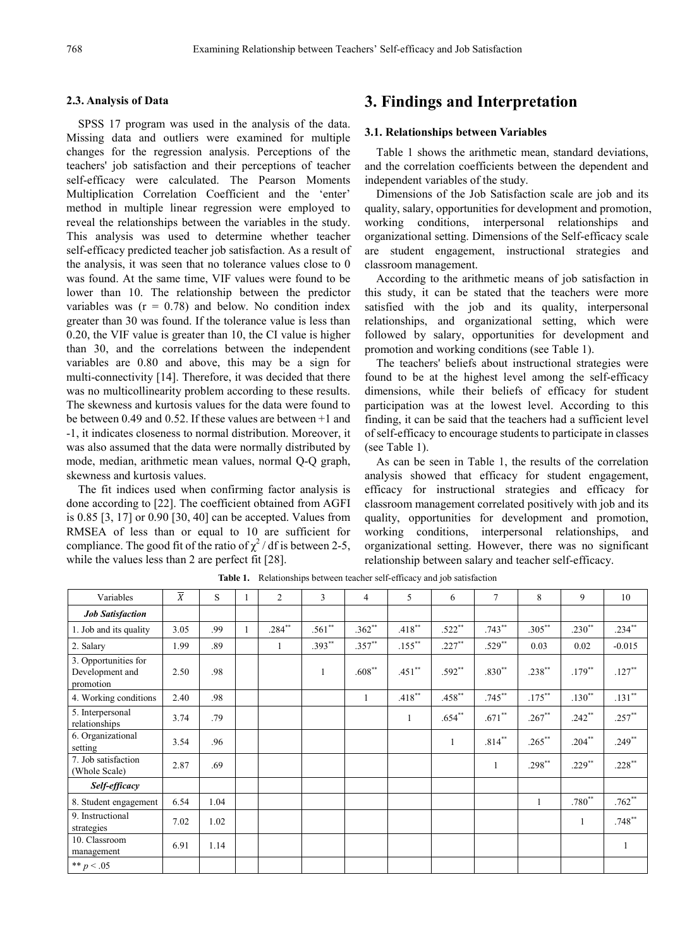## **2.3. Analysis of Data**

SPSS 17 program was used in the analysis of the data. Missing data and outliers were examined for multiple changes for the regression analysis. Perceptions of the teachers' job satisfaction and their perceptions of teacher self-efficacy were calculated. The Pearson Moments Multiplication Correlation Coefficient and the 'enter' method in multiple linear regression were employed to reveal the relationships between the variables in the study. This analysis was used to determine whether teacher self-efficacy predicted teacher job satisfaction. As a result of the analysis, it was seen that no tolerance values close to 0 was found. At the same time, VIF values were found to be lower than 10. The relationship between the predictor variables was  $(r = 0.78)$  and below. No condition index greater than 30 was found. If the tolerance value is less than 0.20, the VIF value is greater than 10, the CI value is higher than 30, and the correlations between the independent variables are 0.80 and above, this may be a sign for multi-connectivity [14]. Therefore, it was decided that there was no multicollinearity problem according to these results. The skewness and kurtosis values for the data were found to be between 0.49 and 0.52. If these values are between +1 and -1, it indicates closeness to normal distribution. Moreover, it was also assumed that the data were normally distributed by mode, median, arithmetic mean values, normal Q-Q graph, skewness and kurtosis values.

The fit indices used when confirming factor analysis is done according to [22]. The coefficient obtained from AGFI is 0.85 [3, 17] or 0.90 [30, 40] can be accepted. Values from RMSEA of less than or equal to 10 are sufficient for compliance. The good fit of the ratio of  $\chi^2$  / df is between 2-5, while the values less than 2 are perfect fit [28].

# **3. Findings and Interpretation**

## **3.1. Relationships between Variables**

Table 1 shows the arithmetic mean, standard deviations, and the correlation coefficients between the dependent and independent variables of the study.

Dimensions of the Job Satisfaction scale are job and its quality, salary, opportunities for development and promotion, working conditions, interpersonal relationships and organizational setting. Dimensions of the Self-efficacy scale are student engagement, instructional strategies and classroom management.

According to the arithmetic means of job satisfaction in this study, it can be stated that the teachers were more satisfied with the job and its quality, interpersonal relationships, and organizational setting, which were followed by salary, opportunities for development and promotion and working conditions (see Table 1).

The teachers' beliefs about instructional strategies were found to be at the highest level among the self-efficacy dimensions, while their beliefs of efficacy for student participation was at the lowest level. According to this finding, it can be said that the teachers had a sufficient level of self-efficacy to encourage students to participate in classes (see Table 1).

As can be seen in Table 1, the results of the correlation analysis showed that efficacy for student engagement, efficacy for instructional strategies and efficacy for classroom management correlated positively with job and its quality, opportunities for development and promotion, working conditions, interpersonal relationships, and organizational setting. However, there was no significant relationship between salary and teacher self-efficacy.

| Variables                                            | $\overline{X}$ | S    | $\overline{2}$ | 3        | $\overline{4}$ | 5         | 6            | 7            | 8         | 9         | 10        |
|------------------------------------------------------|----------------|------|----------------|----------|----------------|-----------|--------------|--------------|-----------|-----------|-----------|
| <b>Job Satisfaction</b>                              |                |      |                |          |                |           |              |              |           |           |           |
| 1. Job and its quality                               | 3.05           | .99  | $.284**$       | $.561**$ | $.362**$       | $.418**$  | $.522**$     | $.743**$     | $.305***$ | $.230**$  | $.234***$ |
| 2. Salary                                            | 1.99           | .89  | $\mathbf{1}$   | .393**   | $.357***$      | $.155***$ | $.227***$    | $.529**$     | 0.03      | 0.02      | $-0.015$  |
| 3. Opportunities for<br>Development and<br>promotion | 2.50           | .98  |                |          | $.608**$       | $.451**$  | $.592**$     | $.830**$     | $.238***$ | $.179**$  | $.127***$ |
| 4. Working conditions                                | 2.40           | .98  |                |          | 1              | $.418***$ | $.458**$     | $.745***$    | $.175***$ | $.130**$  | $.131***$ |
| 5. Interpersonal<br>relationships                    | 3.74           | .79  |                |          |                | 1         | $.654**$     | $.671**$     | $.267**$  | $.242**$  | $.257***$ |
| 6. Organizational<br>setting                         | 3.54           | .96  |                |          |                |           | $\mathbf{1}$ | $.814***$    | $.265***$ | $.204***$ | $.249**$  |
| 7. Job satisfaction<br>(Whole Scale)                 | 2.87           | .69  |                |          |                |           |              | $\mathbf{1}$ | .298**    | $.229**$  | $.228***$ |
| Self-efficacy                                        |                |      |                |          |                |           |              |              |           |           |           |
| 8. Student engagement                                | 6.54           | 1.04 |                |          |                |           |              |              | 1         | .780**    | $.762**$  |
| 9. Instructional<br>strategies                       | 7.02           | 1.02 |                |          |                |           |              |              |           | 1         | $.748**$  |
| 10. Classroom<br>management                          | 6.91           | 1.14 |                |          |                |           |              |              |           |           |           |
| ** $p < .05$                                         |                |      |                |          |                |           |              |              |           |           |           |

**Table 1.** Relationships between teacher self-efficacy and job satisfaction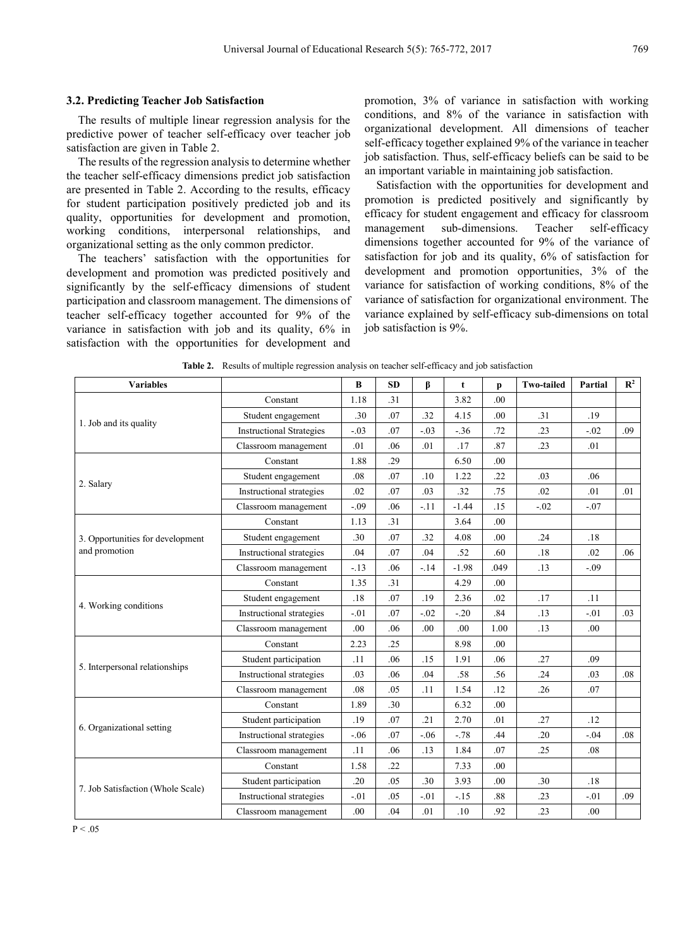## **3.2. Predicting Teacher Job Satisfaction**

The results of multiple linear regression analysis for the predictive power of teacher self-efficacy over teacher job satisfaction are given in Table 2.

The results of the regression analysis to determine whether the teacher self-efficacy dimensions predict job satisfaction are presented in Table 2. According to the results, efficacy for student participation positively predicted job and its quality, opportunities for development and promotion, working conditions, interpersonal relationships, and organizational setting as the only common predictor.

The teachers' satisfaction with the opportunities for development and promotion was predicted positively and significantly by the self-efficacy dimensions of student participation and classroom management. The dimensions of teacher self-efficacy together accounted for 9% of the variance in satisfaction with job and its quality, 6% in satisfaction with the opportunities for development and promotion, 3% of variance in satisfaction with working conditions, and 8% of the variance in satisfaction with organizational development. All dimensions of teacher self-efficacy together explained 9% of the variance in teacher job satisfaction. Thus, self-efficacy beliefs can be said to be an important variable in maintaining job satisfaction.

Satisfaction with the opportunities for development and promotion is predicted positively and significantly by efficacy for student engagement and efficacy for classroom management sub-dimensions. Teacher self-efficacy dimensions together accounted for 9% of the variance of satisfaction for job and its quality, 6% of satisfaction for development and promotion opportunities, 3% of the variance for satisfaction of working conditions, 8% of the variance of satisfaction for organizational environment. The variance explained by self-efficacy sub-dimensions on total job satisfaction is 9%.

| <b>Variables</b>                  |                                 | $\bf{B}$ | <b>SD</b> | β      | t       | p                | <b>Two-tailed</b> | Partial | $\mathbb{R}^2$ |
|-----------------------------------|---------------------------------|----------|-----------|--------|---------|------------------|-------------------|---------|----------------|
|                                   | Constant                        | 1.18     | .31       |        | 3.82    | .00              |                   |         |                |
| 1. Job and its quality            | Student engagement              | .30      | .07       | .32    | 4.15    | .00              | .31               | .19     |                |
|                                   | <b>Instructional Strategies</b> | $-.03$   | .07       | $-.03$ | $-36$   | .72              | .23               | $-.02$  | .09            |
|                                   | Classroom management            | .01      | .06       | .01    | .17     | .87              | .23               | .01     |                |
|                                   | Constant                        | 1.88     | .29       |        | 6.50    | .00              |                   |         |                |
| 2. Salary                         | Student engagement              | .08      | .07       | .10    | 1.22    | .22              | .03               | .06     |                |
|                                   | Instructional strategies        | .02      | .07       | .03    | .32     | .75              | .02               | .01     | .01            |
|                                   | Classroom management            | $-.09$   | .06       | $-11$  | $-1.44$ | .15              | $-.02$            | $-.07$  |                |
|                                   | Constant                        | 1.13     | .31       |        | 3.64    | .00              |                   |         |                |
| 3. Opportunities for development  | Student engagement              | .30      | .07       | .32    | 4.08    | .00              | .24               | .18     |                |
| and promotion                     | Instructional strategies        | .04      | .07       | .04    | .52     | .60              | .18               | .02     | .06            |
|                                   | Classroom management            | $-.13$   | .06       | $-.14$ | $-1.98$ | .049             | .13               | $-.09$  |                |
|                                   | Constant                        | 1.35     | .31       |        | 4.29    | .00 <sub>1</sub> |                   |         |                |
|                                   | Student engagement              | .18      | .07       | .19    | 2.36    | .02              | .17               | .11     |                |
| 4. Working conditions             | Instructional strategies        | $-.01$   | .07       | $-.02$ | $-20$   | .84              | .13               | $-.01$  | .03            |
|                                   | Classroom management            | .00      | .06       | .00.   | .00     | 1.00             | .13               | .00     |                |
|                                   | Constant                        | 2.23     | .25       |        | 8.98    | .00              |                   |         |                |
|                                   | Student participation           | .11      | .06       | .15    | 1.91    | .06              | .27               | .09     |                |
| 5. Interpersonal relationships    | Instructional strategies        | .03      | .06       | .04    | .58     | .56              | .24               | .03     | .08            |
|                                   | Classroom management            | .08      | .05       | .11    | 1.54    | .12              | .26               | .07     |                |
|                                   | Constant                        | 1.89     | .30       |        | 6.32    | .00              |                   |         |                |
|                                   | Student participation           | .19      | .07       | .21    | 2.70    | .01              | .27               | .12     |                |
| 6. Organizational setting         | Instructional strategies        | $-.06$   | .07       | $-.06$ | $-.78$  | .44              | .20               | $-.04$  | .08            |
|                                   | Classroom management            | .11      | .06       | .13    | 1.84    | .07              | .25               | .08     |                |
|                                   | Constant                        | 1.58     | .22       |        | 7.33    | .00              |                   |         |                |
|                                   | Student participation           | .20      | .05       | .30    | 3.93    | .00              | .30               | .18     |                |
| 7. Job Satisfaction (Whole Scale) | Instructional strategies        | $-.01$   | .05       | $-.01$ | $-15$   | .88              | .23               | $-.01$  | .09            |
|                                   | Classroom management            | .00      | .04       | .01    | .10     | .92              | .23               | .00     |                |

**Table 2.** Results of multiple regression analysis on teacher self-efficacy and job satisfaction

 $P < .05$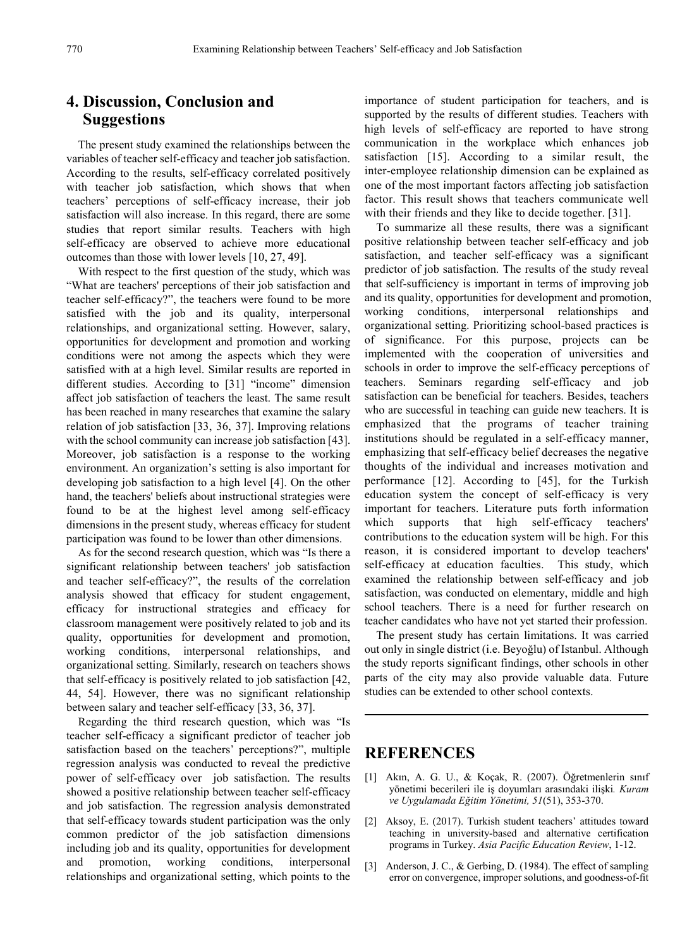# **4. Discussion, Conclusion and Suggestions**

The present study examined the relationships between the variables of teacher self-efficacy and teacher job satisfaction. According to the results, self-efficacy correlated positively with teacher job satisfaction, which shows that when teachers' perceptions of self-efficacy increase, their job satisfaction will also increase. In this regard, there are some studies that report similar results. Teachers with high self-efficacy are observed to achieve more educational outcomes than those with lower levels [10, 27, 49].

With respect to the first question of the study, which was "What are teachers' perceptions of their job satisfaction and teacher self-efficacy?", the teachers were found to be more satisfied with the job and its quality, interpersonal relationships, and organizational setting. However, salary, opportunities for development and promotion and working conditions were not among the aspects which they were satisfied with at a high level. Similar results are reported in different studies. According to [31] "income" dimension affect job satisfaction of teachers the least. The same result has been reached in many researches that examine the salary relation of job satisfaction [33, 36, 37]. Improving relations with the school community can increase job satisfaction [43]. Moreover, job satisfaction is a response to the working environment. An organization's setting is also important for developing job satisfaction to a high level [4]. On the other hand, the teachers' beliefs about instructional strategies were found to be at the highest level among self-efficacy dimensions in the present study, whereas efficacy for student participation was found to be lower than other dimensions.

As for the second research question, which was "Is there a significant relationship between teachers' job satisfaction and teacher self-efficacy?", the results of the correlation analysis showed that efficacy for student engagement, efficacy for instructional strategies and efficacy for classroom management were positively related to job and its quality, opportunities for development and promotion, working conditions, interpersonal relationships, and organizational setting. Similarly, research on teachers shows that self-efficacy is positively related to job satisfaction [42, 44, 54]. However, there was no significant relationship between salary and teacher self-efficacy [33, 36, 37].

Regarding the third research question, which was "Is teacher self-efficacy a significant predictor of teacher job satisfaction based on the teachers' perceptions?", multiple regression analysis was conducted to reveal the predictive power of self-efficacy over job satisfaction. The results showed a positive relationship between teacher self-efficacy and job satisfaction. The regression analysis demonstrated that self-efficacy towards student participation was the only common predictor of the job satisfaction dimensions including job and its quality, opportunities for development and promotion, working conditions, interpersonal relationships and organizational setting, which points to the importance of student participation for teachers, and is supported by the results of different studies. Teachers with high levels of self-efficacy are reported to have strong communication in the workplace which enhances job satisfaction [15]. According to a similar result, the inter-employee relationship dimension can be explained as one of the most important factors affecting job satisfaction factor. This result shows that teachers communicate well with their friends and they like to decide together. [31].

To summarize all these results, there was a significant positive relationship between teacher self-efficacy and job satisfaction, and teacher self-efficacy was a significant predictor of job satisfaction. The results of the study reveal that self-sufficiency is important in terms of improving job and its quality, opportunities for development and promotion, working conditions, interpersonal relationships and organizational setting. Prioritizing school-based practices is of significance. For this purpose, projects can be implemented with the cooperation of universities and schools in order to improve the self-efficacy perceptions of teachers. Seminars regarding self-efficacy and job satisfaction can be beneficial for teachers. Besides, teachers who are successful in teaching can guide new teachers. It is emphasized that the programs of teacher training institutions should be regulated in a self-efficacy manner, emphasizing that self-efficacy belief decreases the negative thoughts of the individual and increases motivation and performance [12]. According to [45], for the Turkish education system the concept of self-efficacy is very important for teachers. Literature puts forth information which supports that high self-efficacy teachers' contributions to the education system will be high. For this reason, it is considered important to develop teachers' self-efficacy at education faculties. This study, which examined the relationship between self-efficacy and job satisfaction, was conducted on elementary, middle and high school teachers. There is a need for further research on teacher candidates who have not yet started their profession.

The present study has certain limitations. It was carried out only in single district (i.e. Beyoğlu) of Istanbul. Although the study reports significant findings, other schools in other parts of the city may also provide valuable data. Future studies can be extended to other school contexts.

# **REFERENCES**

- [1] Akın, A. G. U., & Koçak, R. (2007). Öğretmenlerin sınıf yönetimi becerileri ile iş doyumları arasındaki ilişki*. Kuram ve Uygulamada Eğitim Yönetimi, 51*(51), 353-370.
- [2] Aksoy, E. (2017). Turkish student teachers' attitudes toward teaching in university-based and alternative certification programs in Turkey. *Asia Pacific Education Review*, 1-12.
- [3] Anderson, J. C., & Gerbing, D. (1984). The effect of sampling error on convergence, improper solutions, and goodness-of-fit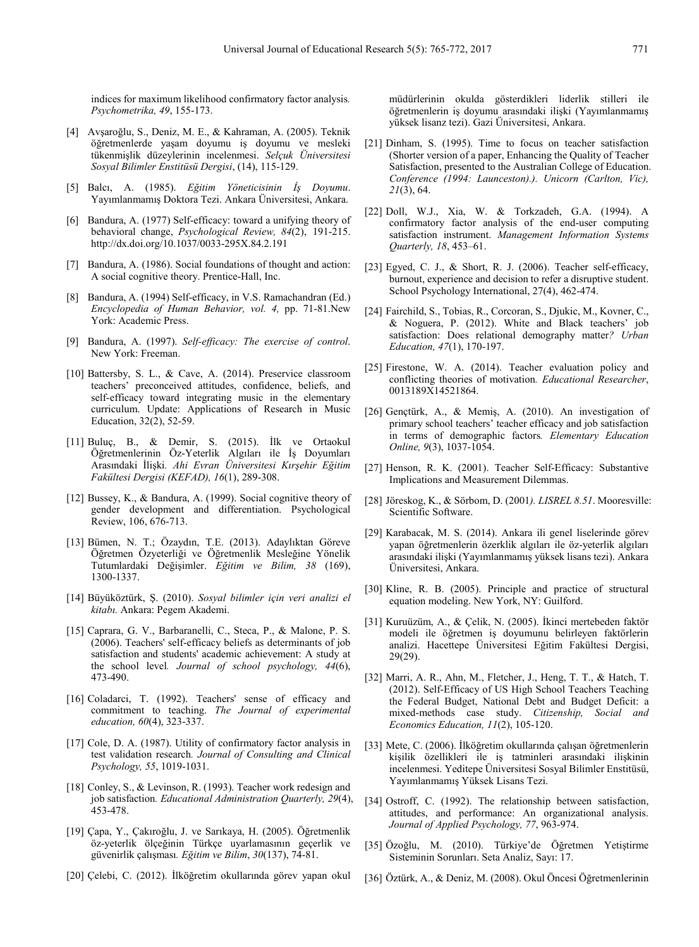indices for maximum likelihood confirmatory factor analysis*. Psychometrika, 49*, 155-173.

- [4] Avşaroğlu, S., Deniz, M. E., & Kahraman, A. (2005). Teknik öğretmenlerde yaşam doyumu iş doyumu ve mesleki tükenmişlik düzeylerinin incelenmesi. *Selçuk Üniversitesi Sosyal Bilimler Enstitüsü Dergisi*, (14), 115-129.
- [5] Balcı, A. (1985). *Eğitim Yöneticisinin İş Doyumu*. Yayımlanmamış Doktora Tezi. Ankara Üniversitesi, Ankara.
- [6] Bandura, A. (1977) Self-efficacy: toward a unifying theory of behavioral change, *Psychological Review, 84*(2), 191-215. http://dx.doi.org/10.1037/0033-295X.84.2.191
- [7] Bandura, A. (1986). Social foundations of thought and action: A social cognitive theory. Prentice-Hall, Inc.
- [8] Bandura, A. (1994) Self-efficacy, in V.S. Ramachandran (Ed.) *Encyclopedia of Human Behavior, vol. 4,* pp. 71-81.New York: Academic Press.
- [9] Bandura, A. (1997). *Self-efficacy: The exercise of control*. New York: Freeman.
- [10] Battersby, S. L., & Cave, A. (2014). Preservice classroom teachers' preconceived attitudes, confidence, beliefs, and self-efficacy toward integrating music in the elementary curriculum. Update: Applications of Research in Music Education, 32(2), 52-59.
- [11] Buluç, B., & Demir, S. (2015). İlk ve Ortaokul Öğretmenlerinin Öz-Yeterlik Algıları ile İş Doyumları Arasındaki İlişki*. Ahi Evran Üniversitesi Kırşehir Eğitim Fakültesi Dergisi (KEFAD), 16*(1), 289-308.
- [12] Bussey, K., & Bandura, A. (1999). Social cognitive theory of gender development and differentiation. Psychological Review, 106, 676-713.
- [13] Bümen, N. T.; Özaydın, T.E. (2013). Adaylıktan Göreve Öğretmen Özyeterliği ve Öğretmenlik Mesleğine Yönelik Tutumlardaki Değişimler. *Eğitim ve Bilim, 38* (169), 1300-1337.
- [14] Büyüköztürk, Ş. (2010). *Sosyal bilimler için veri analizi el kitabı.* Ankara: Pegem Akademi.
- [15] Caprara, G. V., Barbaranelli, C., Steca, P., & Malone, P. S. (2006). Teachers' self-efficacy beliefs as determinants of job satisfaction and students' academic achievement: A study at the school level*. Journal of school psychology, 44*(6), 473-490.
- [16] Coladarci, T. (1992). Teachers' sense of efficacy and commitment to teaching. *The Journal of experimental education, 60*(4), 323-337.
- [17] Cole, D. A. (1987). Utility of confirmatory factor analysis in test validation research*. Journal of Consulting and Clinical Psychology, 55*, 1019-1031.
- [18] Conley, S., & Levinson, R. (1993). Teacher work redesign and job satisfaction*. Educational Administration Quarterly, 29*(4), 453-478.
- [19] Çapa, Y., Çakıroğlu, J. ve Sarıkaya, H. (2005). Öğretmenlik öz-yeterlik ölçeğinin Türkçe uyarlamasının geçerlik ve güvenirlik çalışması*. Eğitim ve Bilim*, *30*(137), 74-81.
- [20] Çelebi, C. (2012). İlköğretim okullarında görev yapan okul

müdürlerinin okulda gösterdikleri liderlik stilleri ile öğretmenlerin iş doyumu arasındaki ilişki (Yayımlanmamış yüksek lisanz tezi). Gazi Üniversitesi, Ankara.

- [21] Dinham, S. (1995). Time to focus on teacher satisfaction (Shorter version of a paper, Enhancing the Quality of Teacher Satisfaction, presented to the Australian College of Education. *Conference (1994: Launceston).). Unicorn (Carlton, Vic), 21*(3), 64.
- [22] Doll, W.J., Xia, W. & Torkzadeh, G.A. (1994). A confirmatory factor analysis of the end-user computing satisfaction instrument. *Management Information Systems Quarterly, 18*, 453–61.
- [23] Egyed, C. J., & Short, R. J. (2006). Teacher self-efficacy, burnout, experience and decision to refer a disruptive student. School Psychology International, 27(4), 462-474.
- [24] Fairchild, S., Tobias, R., Corcoran, S., Djukic, M., Kovner, C., & Noguera, P. (2012). White and Black teachers' job satisfaction: Does relational demography matter*? Urban Education, 47*(1), 170-197.
- [25] Firestone, W. A. (2014). Teacher evaluation policy and conflicting theories of motivation*. Educational Researcher*, 0013189X14521864.
- [26] Gençtürk, A., & Memiş, A. (2010). An investigation of primary school teachers' teacher efficacy and job satisfaction in terms of demographic factors*. Elementary Education Online, 9*(3), 1037-1054.
- [27] Henson, R. K. (2001). Teacher Self-Efficacy: Substantive Implications and Measurement Dilemmas.
- [28] Jöreskog, K., & Sörbom, D. (2001*). LISREL 8.51*. Mooresville: Scientific Software.
- [29] Karabacak, M. S. (2014). Ankara ili genel liselerinde görev yapan öğretmenlerin özerklik algıları ile öz-yeterlik algıları arasındaki ilişki (Yayımlanmamış yüksek lisans tezi). Ankara Üniversitesi, Ankara.
- [30] Kline, R. B. (2005). Principle and practice of structural equation modeling. New York, NY: Guilford.
- [31] Kuruüzüm, A., & Çelik, N. (2005). İkinci mertebeden faktör modeli ile öğretmen iş doyumunu belirleyen faktörlerin analizi. Hacettepe Üniversitesi Eğitim Fakültesi Dergisi, 29(29).
- [32] Marri, A. R., Ahn, M., Fletcher, J., Heng, T. T., & Hatch, T. (2012). Self-Efficacy of US High School Teachers Teaching the Federal Budget, National Debt and Budget Deficit: a mixed-methods case study. *Citizenship, Social and Economics Education, 11*(2), 105-120.
- [33] Mete, C. (2006). İlköğretim okullarında çalışan öğretmenlerin kişilik özellikleri ile iş tatminleri arasındaki ilişkinin incelenmesi. Yeditepe Üniversitesi Sosyal Bilimler Enstitüsü, Yayımlanmamış Yüksek Lisans Tezi.
- [34] Ostroff, C. (1992). The relationship between satisfaction, attitudes, and performance: An organizational analysis. *Journal of Applied Psychology, 77*, 963-974.
- [35] Özoğlu, M. (2010). Türkiye'de Öğretmen Yetiştirme Sisteminin Sorunları. Seta Analiz, Sayı: 17.
- [36] Öztürk, A., & Deniz, M. (2008). Okul Öncesi Öğretmenlerinin